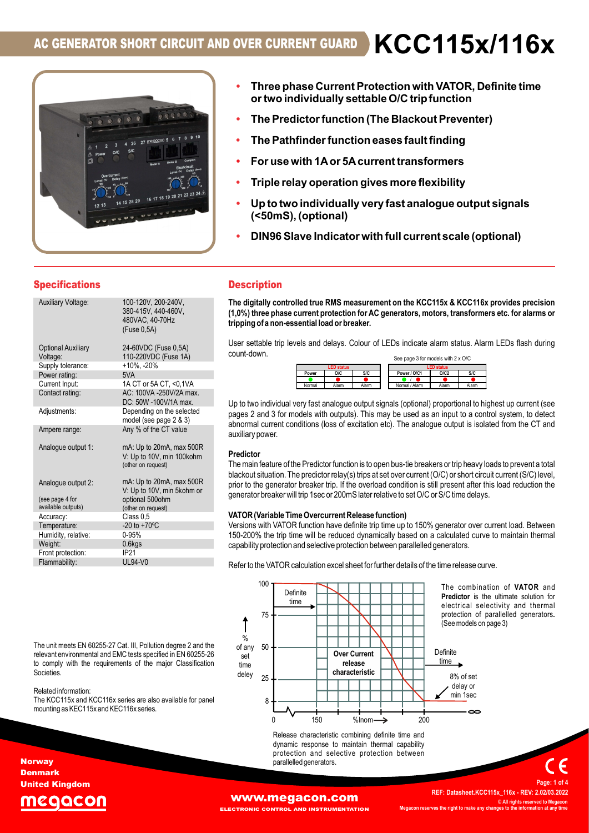

- **OVER CURRENT GUARD** <br>• Three phase Current Protection with VATOR, Definite time<br>or two individually settable O/C tripfunction<br>• The Pathfinder function (The Blackout Preventer)<br>• The Pathfinder function eases fault fin • Three phase Current Protection with VATOR, Definite time<br>• Three phase Current Protection with VATOR, Definite time<br>• The Predictor function (The Blackout Preventer)<br>• The Pathfinder function eases fault finding<br>• For us • Three phase Current Protection with VATOR, Definite time<br>• Three phase Current Protection with VATOR, Definite time<br>• The Predictor function (The Blackout Preventer)<br>• The Pathfinder function eases fault finding<br>• For u • Three phase Current Protection with VATOR, Definite time **OVER CURRENT GUARD KCC115X/116X**<br>
Three phase Current Protection with VATOR, Definite time<br>
or two individually settable O/C trip function<br>
The Predictor function (The Blackout Preventer)<br>
• For use with 14 or 54 current
	- The Predictor function (The Blackout Preventer)
- The Pathfinder function eases fault finding
- For use with 1A or 5A current transformers
- 
- (<50mS), (optional)
- 

## **Specifications**

|                                       | 4 26 27 megacon 5<br><b>SIC</b><br>O/C                                                                                                                                                          | The Pathfinder function eases fault finding<br>For use with 1A or 5A current transformers<br>Triple relay operation gives more flexibility<br>Up to two individually very fast analogue output signa<br>(<50mS), (optional)<br>DIN96 Slave Indicator with full current scale (optional)                                                         |  |  |  |  |  |  |
|---------------------------------------|-------------------------------------------------------------------------------------------------------------------------------------------------------------------------------------------------|-------------------------------------------------------------------------------------------------------------------------------------------------------------------------------------------------------------------------------------------------------------------------------------------------------------------------------------------------|--|--|--|--|--|--|
| <b>Specifications</b>                 |                                                                                                                                                                                                 | <b>Description</b>                                                                                                                                                                                                                                                                                                                              |  |  |  |  |  |  |
| <b>Auxiliary Voltage:</b>             | 100-120V, 200-240V,<br>380-415V, 440-460V,<br>480VAC, 40-70Hz<br>(Fuse 0,5A)                                                                                                                    | The digitally controlled true RMS measurement on the KCC115x & KCC116x provides<br>(1,0%) three phase current protection for AC generators, motors, transformers etc. for<br>tripping of a non-essential load or breaker.                                                                                                                       |  |  |  |  |  |  |
| <b>Optional Auxiliary</b><br>Voltage: | 24-60VDC (Fuse 0,5A)<br>110-220VDC (Fuse 1A)                                                                                                                                                    | User settable trip levels and delays. Colour of LEDs indicate alarm status. Alarm LEDs f<br>count-down.                                                                                                                                                                                                                                         |  |  |  |  |  |  |
| Supply tolerance:                     | $+10\%$ , $-20\%$                                                                                                                                                                               | See page 3 for models with 2 x O/C<br>LED stal                                                                                                                                                                                                                                                                                                  |  |  |  |  |  |  |
| Power rating:                         | 5VA                                                                                                                                                                                             | S/C<br>O/C2<br>Power<br>0/C<br>Power / O/C1<br><b>S/C</b>                                                                                                                                                                                                                                                                                       |  |  |  |  |  |  |
| Current Input:                        | 1A CT or 5A CT, <0,1VA                                                                                                                                                                          | Alarm<br>Normal<br>Alarm<br>Normal / Alarm<br>Alarm<br>Alarm                                                                                                                                                                                                                                                                                    |  |  |  |  |  |  |
| Contact rating:                       | AC: 100VA -250V/2A max.                                                                                                                                                                         |                                                                                                                                                                                                                                                                                                                                                 |  |  |  |  |  |  |
|                                       | DC: 50W -100V/1A max.                                                                                                                                                                           | Up to two individual very fast analogue output signals (optional) proportional to highest up c                                                                                                                                                                                                                                                  |  |  |  |  |  |  |
| Adjustments:                          | Depending on the selected                                                                                                                                                                       | pages 2 and 3 for models with outputs). This may be used as an input to a control systen                                                                                                                                                                                                                                                        |  |  |  |  |  |  |
| Ampere range:                         | model (see page 2 & 3)<br>Any % of the CT value                                                                                                                                                 | abnormal current conditions (loss of excitation etc). The analogue output is isolated from t<br>auxiliary power.                                                                                                                                                                                                                                |  |  |  |  |  |  |
| Analogue output 1:                    | mA: Up to 20mA, max 500R<br>V: Up to 10V, min 100kohm<br>(other on request)                                                                                                                     | Predictor<br>The main feature of the Predictor function is to open bus-tie breakers or trip heavy loads to pre<br>blackout situation. The predictor relay(s) trips at set over current (O/C) or short circuit current                                                                                                                           |  |  |  |  |  |  |
| Analogue output 2:                    | mA: Up to 20mA, max 500R                                                                                                                                                                        | prior to the generator breaker trip. If the overload condition is still present after this load re                                                                                                                                                                                                                                              |  |  |  |  |  |  |
|                                       | V: Up to 10V, min 5kohm or                                                                                                                                                                      | generator breaker will trip 1sec or 200mS later relative to set O/C or S/C time delays.                                                                                                                                                                                                                                                         |  |  |  |  |  |  |
| (see page 4 for<br>available outputs) | optional 500ohm                                                                                                                                                                                 |                                                                                                                                                                                                                                                                                                                                                 |  |  |  |  |  |  |
| Accuracy:                             | (other on request)<br>Class 0.5                                                                                                                                                                 | VATOR (Variable Time Overcurrent Release function)                                                                                                                                                                                                                                                                                              |  |  |  |  |  |  |
| Temperature:                          | $-20$ to $+70^{\circ}$ C                                                                                                                                                                        | Versions with VATOR function have definite trip time up to 150% generator over current loa                                                                                                                                                                                                                                                      |  |  |  |  |  |  |
| Humidity, relative:                   | 0-95%                                                                                                                                                                                           | 150-200% the trip time will be reduced dynamically based on a calculated curve to maint                                                                                                                                                                                                                                                         |  |  |  |  |  |  |
| Weight:                               | $0.6$ kgs                                                                                                                                                                                       | capability protection and selective protection between parallelled generators.                                                                                                                                                                                                                                                                  |  |  |  |  |  |  |
| Front protection:                     | IP21                                                                                                                                                                                            |                                                                                                                                                                                                                                                                                                                                                 |  |  |  |  |  |  |
| Flammability:                         | <b>UL94-V0</b>                                                                                                                                                                                  | Refer to the VATOR calculation excel sheet for further details of the time release curve                                                                                                                                                                                                                                                        |  |  |  |  |  |  |
| Societies.<br>Related information:    | The unit meets EN 60255-27 Cat. III, Pollution degree 2 and the<br>relevant environmental and EMC tests specified in EN 60255-26<br>to comply with the requirements of the major Classification | 100<br>The combination of V.<br>Definite<br><b>Predictor</b> is the ultimate<br>time<br>electrical selectivity are<br>protection of parallelled<br>75<br>(See models on page 3)<br>%<br>50<br>of any<br>Definite<br><b>Over Current</b><br>set<br>time<br>release<br>time<br>characteristic<br>deley<br>8% of set<br>25<br>delay or<br>min 1sec |  |  |  |  |  |  |
|                                       | The KCC115x and KCC116x series are also available for panel<br>on KEO11Ey and KEO11Ey paring                                                                                                    | 8                                                                                                                                                                                                                                                                                                                                               |  |  |  |  |  |  |

## **Description**

The digitally controlled true RMS measurement on the KCC115x & KCC116x provides precision (1,0%) three phase current protection for AC generators, motors, transformers etc. for alarms or tripping of a non-essential load or breaker.

User settable trip levels and delays. Colour of LEDs indicate alarm status. Alarm LEDs flash during count-down.

|        |                   |       | See page 3 for models with 2 x O/C |                   |       |
|--------|-------------------|-------|------------------------------------|-------------------|-------|
|        | <b>LED status</b> |       |                                    | <b>LED status</b> |       |
| Power  | 0/C               | S/C   | Power / O/C1                       | O/C2              | S/C   |
|        |                   |       |                                    |                   |       |
| Normal | Alarm             | Alarm | Normal / Alarm                     | Alam              | Alarm |

Up to two individual very fast analogue output signals (optional) proportional to highest up current (see pages 2 and 3 for models with outputs). This may be used as an input to a control system, to detect abnormal current conditions (loss of excitation etc). The analogue output is isolated from the CT and auxiliary power.

## Predictor

The main feature of the Predictor function is to open bus-tie breakers or trip heavy loads to prevent a total blackout situation. The predictor relay(s) trips at set over current (O/C) or short circuit current (S/C) level, prior to the generator breaker trip. If the overload condition is still present after this load reduction the generator breaker will trip 1sec or 200mS later relative to set O/C or S/C time delays.

## VATOR (Variable Time Overcurrent Release function)

Versions with VATOR function have definite trip time up to 150% generator over current load. Between 150-200% the trip time will be reduced dynamically based on a calculated curve to maintain thermal capability protection and selective protection between parallelled generators. Weight: 0.6kgs

Flammability: UL94-V0<br>Refer to the VATOR calculation excel sheet for further details of the time release curve.



The swith 2 x 0/C<br>
Swith 2 x 0/C<br>
<u>Mus</u><br>
<u>Nore and Combination</u><br>
Deportional to highest up current (see<br>
input to a control system, to detect<br>
output is isolated from the CT and<br>
Combination of the CT and<br>
Combination of For status. Alarm LEDs flash during<br>
soluting<br>
soluting<br>
soluting<br>
predictor is isolated from the CT and<br>
coutput is isolated from the CT and<br>
coutput is isolated from the CT and<br>
coutput is isolated from the CT and<br>
cout electrical selectrical selectrical selectrical selectrical<br>
Section of the control system, to detect<br>
output to a control system, to detect<br>
output is isolated from the CT and<br>
so r trip heavy loads to prevent a total<br>
C) swith 2 x O/C<br> **Cording Transform Control** System, to detect<br>
input to a control system, to detect<br>
output is isolated from the CT and<br>
so r trip heavy loads to prevent a total<br>
C) or short circuit current (S/C) level,<br>
pr

Related information:<br>The KCC115x and KCC116x series are also available for panel

Release characteristic combining definite time and dynamic response to maintain thermal capability protection and selective protection between parallelled generators.

## United Kingdom QC

**Norway** Denmark

ECTRONIC CONTROL AND INSTRUMENTATION

**WWW.megacon.com**<br>**WWW.megacon.com** © All rights reserved to Megacor rves the right to make a Page: 1 of 4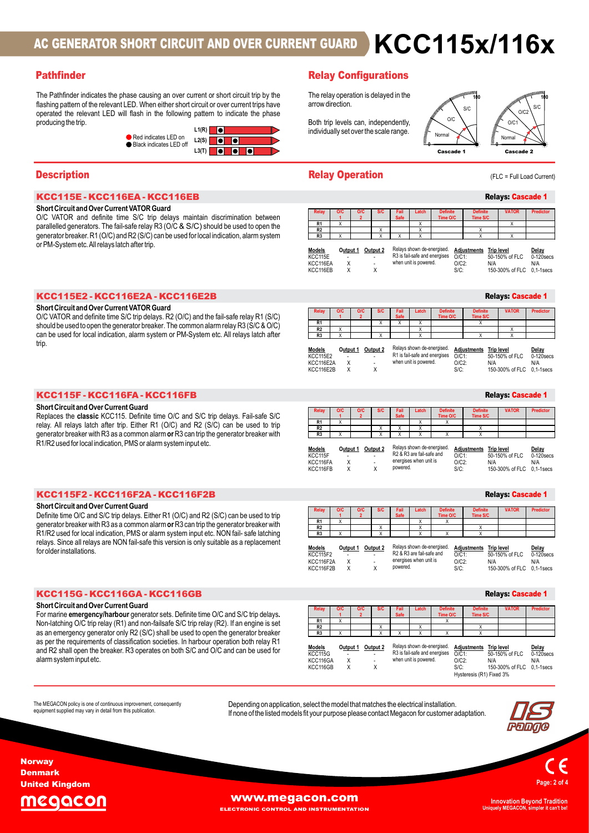# **AC GENERATOR SHORT CIRCUIT AND OVER CURRENT GUARD<br>
Pathfinder<br>
The Pathfinder<br>
Entimates the phase causing an over current of stort circuit or over current trips have<br>
desired and research televisorities to over a curren OR SHORT CIRCUIT AND OVER CURRENT GUARD**  $\sum_{\text{Relay Confusation} \text{ } \text{Configurations}}$ **<br>
Se the phase causing an over current or short circuit trip by the<br>
elevant LED. When either short circuit or over current trips have<br>
LED will fish in th AC GENERATOR SHORT CIRCUIT AND OVER CURRENT GUARD**  $\triangleright$  **KC C 115 M/H<br>
The Pathfinder<br>
The Pathform interaction of the relation pathform of the relation of the relation of the relation of the relation of the relation of** AC GENERATOR SHORT CIRCUIT AND OVER CURRENT GUARD<br>
Pathfinder<br>
The Pathfond indicates the phase causing an over current or start dietal tip by the<br>
flustrage operation is delayed in the relayer of the selection of the sel **AC GENERATOR SHORT CIRCUIT AND OVER CURRENT GUARD KCC115X/116X**<br> **Pathfinder**<br>
The Pathfinder Relay Configurations<br>
The relay operation is delayed in the<br>
mathing pattern of the relevant LED When either short circuit or FREE THE CONTROLLED AND OVER CURRENT GUARD<br>
Becausing an over current or short circuit trip by the<br>
D. When either short circuitor over current trips have<br>
Sush in the following pattern to indicate the phase<br>
Red indicate AC GENERATOR SHORT CIRCUIT AND OVER CURRENT GUARD  $\,$  KCC115x/116x

## **Pathfinder Configurations Pathfinder Configurations**

**AC GENERATOR SHORT CIRCUIT AND OVER CURRENT GUARD**<br> **Pathfinder**<br>
The Pathfinder indicates the phase causing an over current or short circuit trip by the distinguisation:<br>
The relay operation is delayed in the following p operated the relevant LED will flash in the following pattern to indicate the phase producing the trip.  $L_1(R)$   $\blacksquare$ flashing pattern of the relevant LED. When either short circuit or over current trips have .

## Short Circuit and Over Current VATOR Guard

| KCC115E2 - KCC116E2A - KCC116E2I |  |  |  |  |  |  |  |  |  |  |  |  |  |  |  |  |  |  |  |  |  |  |
|----------------------------------|--|--|--|--|--|--|--|--|--|--|--|--|--|--|--|--|--|--|--|--|--|--|
|----------------------------------|--|--|--|--|--|--|--|--|--|--|--|--|--|--|--|--|--|--|--|--|--|--|

**Pathfinder**<br>
The Pathfinder indicates the phase causing an over current or short circuity by the<br>
The Pathfinder indicates the phase causing an over current or short circuity by the<br>
specialization of private and C VATOR should be used to open the generator breaker. The common alarm relay R3 ( $S/C$  &  $O/C$ ) trip. **Description**<br>
Short Created Vietname Companion (State of Companion Companion Companion Companion Companion Companion Companion Companion Companion Companion Companion Companion Companion Companion Companion Companion Com **KCC115E - KCC116EA - KCC116EB**<br>
Short Circuit and Over Current WATOR Guard<br>
OC VATOR and defining them So the passive for local indication, alarm system inc. Network and defining the special of the SC (SOC) and the syste **CC115E - KCC116EA - KCC116EB**<br>
CONTOR and definite time SiX (the definal decir ministion between<br>
DVATOR and definite time SiX (the define time of the sixten of the particle of the definite time sixten of the DVATOR and

| Pathfinder                                                                                                                                                                                                                                                                                                                                                                                                                      | <b>Relay Configurations</b>                                                                                                                                                                                                                                                                                                                                                                      |                                                                                                                                                                                                                                                     |
|---------------------------------------------------------------------------------------------------------------------------------------------------------------------------------------------------------------------------------------------------------------------------------------------------------------------------------------------------------------------------------------------------------------------------------|--------------------------------------------------------------------------------------------------------------------------------------------------------------------------------------------------------------------------------------------------------------------------------------------------------------------------------------------------------------------------------------------------|-----------------------------------------------------------------------------------------------------------------------------------------------------------------------------------------------------------------------------------------------------|
| The Pathfinder indicates the phase causing an over current or short circuit trip by the<br>flashing pattern of the relevant LED. When either short circuit or over current trips have<br>operated the relevant LED will flash in the following pattern to indicate the phase<br>producing the trip.<br>$L1(R)$ $\Box$<br>Red indicates LED on<br>$L2(S)$ $\bullet$ $\bullet$<br>Black indicates LED off<br>$L3(T)$ <b>O O O</b> | The relay operation is delayed in the<br>arrow direction.<br>O/C<br>Both trip levels can, independently,<br>individually set over the scale range.<br>Normal<br><b>Cascade 1</b>                                                                                                                                                                                                                 | S/C<br>S/C<br>O/C2<br>O/C1<br>Normal<br><b>Cascade 2</b>                                                                                                                                                                                            |
| <b>Description</b>                                                                                                                                                                                                                                                                                                                                                                                                              | <b>Relay Operation</b>                                                                                                                                                                                                                                                                                                                                                                           | (FLC = Full Load Current)                                                                                                                                                                                                                           |
| KCC115E - KCC116EA - KCC116EB                                                                                                                                                                                                                                                                                                                                                                                                   |                                                                                                                                                                                                                                                                                                                                                                                                  | <b>Relays: Cascade 1</b>                                                                                                                                                                                                                            |
| Short Circuit and Over Current VATOR Guard<br>O/C VATOR and definite time S/C trip delays maintain discrimination between<br>parallelled generators. The fail-safe relay R3 (O/C & S/C) should be used to open the<br>generator breaker. R1 (O/C) and R2 (S/C) can be used for local indication, alarm system<br>or PM-System etc. All relays latch after trip.                                                                 | <b>Definite</b><br>Relay<br><b>OIC</b><br><b>OIC</b><br>Time O/C<br>R1<br>$\times$<br>x<br>R <sub>2</sub><br>R <sub>3</sub><br>Relays shown de-energised.<br><b>Models</b><br>Output 1 Output 2<br>R3 is fail-safe and energises<br>KCC115E<br>when unit is powered.<br>$\mathsf{X}$<br>KCC116EA<br>X<br>X<br>KCC116EB                                                                           | <b>Definite</b><br><b>VATOR</b><br><b>Predictor</b><br>Time S/C<br>X<br>$\mathsf{x}$<br><b>Adjustments</b> Trip level<br>Delay<br>0-120 secs<br>$O/C1$ :<br>50-150% of FLC<br>$O/C2$ :<br>N/A<br>N/A<br>150-300% of FLC 0.1-1 secs<br>$S/C$ :       |
| KCC115E2 - KCC116E2A - KCC116E2B                                                                                                                                                                                                                                                                                                                                                                                                |                                                                                                                                                                                                                                                                                                                                                                                                  | <b>Relays: Cascade 1</b>                                                                                                                                                                                                                            |
| Short Circuit and Over Current VATOR Guard<br>O/C VATOR and definite time S/C trip delays. R2 (O/C) and the fail-safe relay R1 (S/C)<br>should be used to open the generator breaker. The common alarm relay R3 (S/C & O/C)<br>can be used for local indication, alarm system or PM-System etc. All relays latch after<br>trip.                                                                                                 | <b>Definite</b><br>Fail<br>Relay<br><b>OIC</b><br><b>Safe</b><br>Time O/C<br>R1<br>R <sub>2</sub><br>$\mathsf{x}$<br>R <sub>3</sub><br>$\overline{\mathsf{x}}$<br>Relays shown de-energised.<br><b>Models</b><br>Output 1<br>Output 2<br>R1 is fail-safe and energises $Q/C1$ :<br><b>KCC115E2</b><br>$\sim$<br>when unit is powered.<br>$\mathsf{X}$<br>KCC116E2A<br>KCC116E2B<br>$\times$<br>X | <b>Definite</b><br><b>VATOR</b><br><b>Predictor</b><br>Time S/C<br>$\mathsf{x}$<br>$\mathsf{x}$<br>x<br><b>Adjustments</b> Trip level<br>Delay<br>50-150% of FLC<br>$0-120$ secs<br>$O/C2$ :<br>N/A<br>N/A<br>$S/C$ :<br>150-300% of FLC 0,1-1 secs |
| KCC115F - KCC116FA - KCC116FB                                                                                                                                                                                                                                                                                                                                                                                                   |                                                                                                                                                                                                                                                                                                                                                                                                  | <b>Relays: Cascade 1</b>                                                                                                                                                                                                                            |
| <b>Short Circuit and Over Current Guard</b><br>Replaces the classic KCC115. Definite time O/C and S/C trip delays. Fail-safe S/C                                                                                                                                                                                                                                                                                                | Safe<br>Time O/C<br>R1<br>$\mathsf{x}$<br>X                                                                                                                                                                                                                                                                                                                                                      | <b>Definite</b><br><b>VATOR</b><br><b>Predictor</b><br>Time S/C                                                                                                                                                                                     |

```
Relays: Cascade 1
```

| $L3(T)$ <b>0 0 0 0</b>                                                                                                                                                                                                                                                                                                                                                               |                                                                                                                                                                                                                                                                                                                                                                         | <b>Cascade 1</b><br><b>Cascade 2</b>                                                                                                                                                                                                                                                                            |
|--------------------------------------------------------------------------------------------------------------------------------------------------------------------------------------------------------------------------------------------------------------------------------------------------------------------------------------------------------------------------------------|-------------------------------------------------------------------------------------------------------------------------------------------------------------------------------------------------------------------------------------------------------------------------------------------------------------------------------------------------------------------------|-----------------------------------------------------------------------------------------------------------------------------------------------------------------------------------------------------------------------------------------------------------------------------------------------------------------|
| <b>Description</b>                                                                                                                                                                                                                                                                                                                                                                   | <b>Relay Operation</b>                                                                                                                                                                                                                                                                                                                                                  | (FLC = Full Load Current)                                                                                                                                                                                                                                                                                       |
| KCC115E - KCC116EA - KCC116EB                                                                                                                                                                                                                                                                                                                                                        |                                                                                                                                                                                                                                                                                                                                                                         | <b>Relays: Cascade 1</b>                                                                                                                                                                                                                                                                                        |
| Short Circuit and Over Current VATOR Guard<br>O/C VATOR and definite time S/C trip delays maintain discrimination between<br>parallelled generators. The fail-safe relay R3 (O/C & S/C) should be used to open the<br>generator breaker. R1 (O/C) and R2 (S/C) can be used for local indication, alarm system<br>or PM-System etc. All relays latch after trip.                      | Fail<br>O/C<br><b>S/C</b><br>Latch<br>Safe<br>$\overline{2}$<br>R1<br>$\mathsf{x}$<br>$\overline{X}$<br>R <sub>2</sub><br>X<br>X<br>R <sub>3</sub><br>$\mathsf{x}$<br>Relays shown de-energised.<br><b>Models</b><br>Output 1 Output 2<br>KCC115E<br>when unit is powered.<br>$\times$<br>KCC116EA<br>KCC116EB<br>$\times$<br>X                                         | <b>Definite</b><br><b>VATOR</b><br><b>Predictor</b><br>Time O/C<br>Time S/C<br>X<br>$\mathsf{X}$<br><b>Adjustments</b> Trip level<br>Delay<br>R3 is fail-safe and energises<br>$O/C1$ :<br>50-150% of FLC<br>$0-120$ secs<br>$O/C2$ :<br>N/A<br>N/A<br>150-300% of FLC 0.1-1 secs<br>$S/C$ :                    |
| KCC115E2 - KCC116E2A - KCC116E2B                                                                                                                                                                                                                                                                                                                                                     |                                                                                                                                                                                                                                                                                                                                                                         | <b>Relays: Cascade 1</b>                                                                                                                                                                                                                                                                                        |
| Short Circuit and Over Current VATOR Guard<br>O/C VATOR and definite time S/C trip delays. R2 (O/C) and the fail-safe relay R1 (S/C)<br>should be used to open the generator breaker. The common alarm relay R3 (S/C & O/C)<br>can be used for local indication, alarm system or PM-System etc. All relays latch after<br>trip.                                                      | <b>S/C</b><br>Fail<br>Latch<br>O/C<br><b>Safe</b><br>R1<br>$\mathsf{x}$<br>X<br>X<br>R <sub>2</sub><br>X<br>$\mathbf{x}$<br>R <sub>3</sub><br>Relays shown de-energised.<br>Models<br>Output 1 Output 2<br><b>KCC115E2</b><br>$\mathsf{X}$<br>when unit is powered.<br>KCC116E2A<br>X<br>KCC116E2B<br>$\times$                                                          | <b>Definite</b><br><b>Definite</b><br><b>VATOR</b><br>Predictor<br>Time O/C<br>Time S/C<br>$\mathsf{x}$<br>Adjustments Trip level<br>Delay<br>R1 is fail-safe and energises $\overline{O}/\overline{C}1$ :<br>50-150% of FLC<br>$0-120$ secs<br>$O/C2$ :<br>N/A<br>N/A<br>$S/C$ :<br>150-300% of FLC 0.1-1 secs |
| KCC115F - KCC116FA - KCC116FB                                                                                                                                                                                                                                                                                                                                                        |                                                                                                                                                                                                                                                                                                                                                                         | <b>Relays: Cascade 1</b>                                                                                                                                                                                                                                                                                        |
| <b>Short Circuit and Over Current Guard</b><br>Replaces the classic KCC115. Definite time O/C and S/C trip delays. Fail-safe S/C<br>relay. All relays latch after trip. Either R1 (O/C) and R2 (S/C) can be used to trip<br>generator breaker with R3 as a common alarm or R3 can trip the generator breaker with<br>R1/R2 used for local indication, PMS or alarm system input etc. | Fail<br>Latch<br>O/C<br>S/C<br>Safe<br>$\overline{2}$<br>R1<br>$\overline{X}$<br>R <sub>2</sub><br>$\times$<br>$\mathsf{x}$<br>$\mathsf{x}$<br>R <sub>3</sub><br>Relays shown de-energised<br><b>Models</b><br>Output 1 Output 2<br>R2 & R3 are fail-safe and<br>KCC115F<br>energises when unit is<br>$\mathsf{X}$<br>KCC116FA<br>X<br>powered.<br>KCC116FB<br>$\times$ | <b>Definite</b><br><b>VATOR</b><br><b>Definite</b><br>Predictor<br>Time O/C<br>Time S/C<br>$\mathsf{x}$<br>Adjustments Trip level<br>Delay<br>$O/CI$ :<br>50-150% of FLC<br>$0-120$ secs<br>$O/C2$ :<br>N/A<br>N/A<br>$S/C$ :<br>150-300% of FLC 0,1-1 secs                                                     |
| KCC115F2 - KCC116F2A - KCC116F2B                                                                                                                                                                                                                                                                                                                                                     |                                                                                                                                                                                                                                                                                                                                                                         | <b>Relays: Cascade 1</b>                                                                                                                                                                                                                                                                                        |
| <b>Short Circuit and Over Current Guard</b><br>Definite time O/C and S/C trip delays. Either R1 (O/C) and R2 (S/C) can be used to trip                                                                                                                                                                                                                                               | Safe<br>R1                                                                                                                                                                                                                                                                                                                                                              | <b>Definite</b><br><b>VATOR</b><br><b>Predictor</b><br>Time O/C<br>Time S/C<br>X                                                                                                                                                                                                                                |

| UI FIVI-ƏYSIBIII BIC. AII I BIAYS IAICH AHBI TID.                                                                                                                                                                                                                                                                                                                                                                                                                                                                            | Relays shown de-energised.<br>Output 1 Output 2<br>Adjustments Trip level<br>Delay<br>Models<br>R3 is fail-safe and energises O/C1:<br>KCC115E<br>50-150% of FLC<br>$0-120$ secs<br>when unit is powered.<br>$\boldsymbol{\mathsf{X}}$<br>$O/C2$ :<br>KCC116EA<br>N/A<br>N/A<br>KCC116EB<br>X<br>X<br>150-300% of FLC 0,1-1 secs<br>$S/C$ :                                                                                                                                                                                                                                                                                                                   |
|------------------------------------------------------------------------------------------------------------------------------------------------------------------------------------------------------------------------------------------------------------------------------------------------------------------------------------------------------------------------------------------------------------------------------------------------------------------------------------------------------------------------------|---------------------------------------------------------------------------------------------------------------------------------------------------------------------------------------------------------------------------------------------------------------------------------------------------------------------------------------------------------------------------------------------------------------------------------------------------------------------------------------------------------------------------------------------------------------------------------------------------------------------------------------------------------------|
| KCC115E2 - KCC116E2A - KCC116E2B                                                                                                                                                                                                                                                                                                                                                                                                                                                                                             | <b>Relays: Cascade 1</b>                                                                                                                                                                                                                                                                                                                                                                                                                                                                                                                                                                                                                                      |
| Short Circuit and Over Current VATOR Guard<br>O/C VATOR and definite time S/C trip delays. R2 (O/C) and the fail-safe relay R1 (S/C)<br>should be used to open the generator breaker. The common alarm relay R3 (S/C & O/C)<br>can be used for local indication, alarm system or PM-System etc. All relays latch after<br>trip.                                                                                                                                                                                              | <b>VATOR</b><br><b>Predictor</b><br>Definite<br>Safe<br>Time O/C<br>Time S/C<br>R1<br>$\overline{X}$<br>$\mathsf{x}$<br>R <sub>2</sub><br>$\mathsf{x}$<br>$\mathsf{x}$<br>$\mathsf{x}$<br>R <sub>3</sub><br>$\times$<br>$\times$<br>Relays shown de-energised.<br>Models<br>Output 1<br>Output 2<br><b>Adjustments</b> Trip level<br>Delay<br>R1 is fail-safe and energises<br><b>KCC115E2</b><br>$O/C1$ :<br>50-150% of FLC<br>$0-120$ secs<br>when unit is powered.<br>$\times$<br>$O/C2$ :<br>KCC116E2A<br>N/A<br>N/A<br>KCC116E2B<br>$\times$<br>X<br>$S/C$ :<br>150-300% of FLC 0,1-1 secs                                                               |
| KCC115F - KCC116FA - KCC116FB                                                                                                                                                                                                                                                                                                                                                                                                                                                                                                | <b>Relays: Cascade 1</b>                                                                                                                                                                                                                                                                                                                                                                                                                                                                                                                                                                                                                                      |
| Short Circuit and Over Current Guard<br>Replaces the classic KCC115. Definite time O/C and S/C trip delays. Fail-safe S/C<br>relay. All relays latch after trip. Either R1 (O/C) and R2 (S/C) can be used to trip<br>generator breaker with R3 as a common alarm or R3 can trip the generator breaker with<br>R1/R2 used for local indication, PMS or alarm system input etc.                                                                                                                                                | <b>VATOR</b><br><b>Predictor</b><br>Relay<br>O/C<br>O/C<br>Fail<br><b>Definite</b><br>Safe<br>Time S/C<br>Time O/C<br>R1<br>$\overline{X}$<br>X<br>$\times$<br>R <sub>2</sub><br>$\mathsf{X}$<br>$\mathsf{x}$<br>$\boldsymbol{\mathsf{x}}$<br>R3<br>X<br>$\times$<br>$\mathbf{x}$<br>$\mathsf{x}$<br>X<br>Relays shown de-energised.<br>Output 1 Output 2<br><b>Adjustments</b><br>Models<br><b>Trip level</b><br>Delay<br>R2 & R3 are fail-safe and<br>50-150% of FLC<br>$0-120$ secs<br>KCC115F<br>$O/C1$ :<br>energises when unit is<br>Χ<br>$O/C2$ :<br>KCC116FA<br>N/A<br>N/A<br>powered.<br>150-300% of FLC 0,1-1 secs<br>KCC116FB<br>X<br>X<br>$S/C$ : |
| KCC115F2-KCC116F2A-KCC116F2B                                                                                                                                                                                                                                                                                                                                                                                                                                                                                                 | <b>Relays: Cascade 1</b>                                                                                                                                                                                                                                                                                                                                                                                                                                                                                                                                                                                                                                      |
| Short Circuit and Over Current Guard<br>Definite time O/C and S/C trip delays. Either R1 (O/C) and R2 (S/C) can be used to trip<br>generator breaker with R3 as a common alarm or R3 can trip the generator breaker with<br>R1/R2 used for local indication, PMS or alarm system input etc. NON fail- safe latching<br>relays. Since all relays are NON fail-safe this version is only suitable as a replacement<br>for older installations.                                                                                 | <b>Definite</b><br><b>Predictor</b><br>O/C<br>O/C<br>Fail<br><b>VATOR</b><br>Time O/C<br>Time S/C<br>R1<br>$\boldsymbol{\mathsf{X}}$<br>X<br>R <sub>2</sub><br>$\mathbf{x}$<br>x<br>R <sub>3</sub><br>$\mathsf{x}$<br>X<br>X<br>Relays shown de-energised.<br><b>Models</b><br>Output 1 Output 2<br>Adjustments Trip level<br>Delay<br>R2 & R3 are fail-safe and<br>0-120 secs<br><b>KCC115F2</b><br>$O/C1$ :<br>50-150% of FLC<br>energises when unit is<br>$\boldsymbol{\mathsf{X}}$<br>$O/C2$ :<br>KCC116F2A<br>N/A<br>N/A<br>X<br>powered.<br>$S/C$ :<br>KCC116F2B<br>X<br>150-300% of FLC 0,1-1secs                                                      |
| KCC115G - KCC116GA - KCC116GB                                                                                                                                                                                                                                                                                                                                                                                                                                                                                                | <b>Relays: Cascade 1</b>                                                                                                                                                                                                                                                                                                                                                                                                                                                                                                                                                                                                                                      |
| Short Circuit and Over Current Guard<br>For marine emergency/harbour generator sets. Definite time O/C and S/C trip delays.<br>Non-latching O/C trip relay (R1) and non-failsafe S/C trip relay (R2). If an engine is set<br>as an emergency generator only R2 (S/C) shall be used to open the generator breaker<br>as per the requirements of classification societies. In harbour operation both relay R1<br>and R2 shall open the breaker. R3 operates on both S/C and O/C and can be used for<br>alarm system input etc. | <b>Definite</b><br><b>VATOR</b><br><b>Predictor</b><br>Relay<br>O/C<br><b>O/C</b><br><b>S/C</b><br>Fail<br>Safe<br>Time S/C<br>Time O/C<br>$\overline{1}$<br>$\overline{2}$<br>R1<br>$\overline{X}$<br>$\mathsf{X}$<br>R2<br>X<br>x<br>R3<br>$\mathsf{X}$<br>$\mathbf{x}$<br>$\mathbf{x}$<br>$\times$<br>Relays shown de-energised.<br>Models<br>Output 1 Output 2<br><b>Adjustments</b> Trip level<br><u>Delay</u><br>R3 is fail-safe and energises<br>$0-120$ secs<br><b>KCC115G</b><br>$O/CO$ 1:<br>50-150% of FLC<br>when unit is powered.<br>$\times$<br>KCC116GA<br>$O/C2$ :<br>N/A<br>N/A<br>150 300% of ELC 0.1 1cocc<br>KCM 116CD<br>cır.            |

| KCC115G - KCC116GA - KCC116G |  |
|------------------------------|--|
|------------------------------|--|

|                                                                                                                                                                                                                                                                                                                                                                                                                                                                                                                                     | R1 is fail-safe and energises $O/C1$ :<br>50-150% of FLC<br><b>KCC115E2</b><br>$0-120$ secs<br>when unit is powered.<br>KCC116E2A<br>$\mathsf{X}$<br>$O/C2$ :<br>N/A<br>N/A<br>KCC116E2B<br>$\mathsf{X}$<br>X<br>$S/C$ :<br>150-300% of FLC 0,1-1 secs                                                                                                                                                                                                                                                                                                                                                                                                                                                                 |
|-------------------------------------------------------------------------------------------------------------------------------------------------------------------------------------------------------------------------------------------------------------------------------------------------------------------------------------------------------------------------------------------------------------------------------------------------------------------------------------------------------------------------------------|------------------------------------------------------------------------------------------------------------------------------------------------------------------------------------------------------------------------------------------------------------------------------------------------------------------------------------------------------------------------------------------------------------------------------------------------------------------------------------------------------------------------------------------------------------------------------------------------------------------------------------------------------------------------------------------------------------------------|
| KCC115F-KCC116FA-KCC116FB                                                                                                                                                                                                                                                                                                                                                                                                                                                                                                           | <b>Relays: Cascade 1</b>                                                                                                                                                                                                                                                                                                                                                                                                                                                                                                                                                                                                                                                                                               |
| <b>Short Circuit and Over Current Guard</b><br>Replaces the classic KCC115. Definite time O/C and S/C trip delays. Fail-safe S/C<br>relay. All relays latch after trip. Either R1 (O/C) and R2 (S/C) can be used to trip<br>generator breaker with R3 as a common alarm or R3 can trip the generator breaker with<br>R1/R2 used for local indication, PMS or alarm system input etc.                                                                                                                                                | <b>Definite</b><br><b>VATOR</b><br>Predicto<br>O/C<br><b>S/C</b><br>Fail<br>Definit<br>Time O/C<br><b>Time S/C</b><br>R <sub>1</sub><br>$\mathsf{X}$<br>X<br>$\mathsf{x}$<br>R <sub>2</sub><br>$\overline{X}$<br>$\overline{\mathsf{x}}$<br>$\overline{X}$<br>X<br>R <sub>3</sub><br>$\mathsf{x}$<br>$\overline{X}$<br>X<br>$\mathsf{x}$<br>Relays shown de-energised.<br><b>Models</b><br>Output 1 Output 2<br>Adjustments Trip level<br>Delay<br>R2 & R3 are fail-safe and<br>0-120secs<br>KCC115F<br>$O/C1$ :<br>50-150% of FLC<br>energises when unit is<br>X<br>$O/C2$ :<br>KCC116FA<br>N/A<br>N/A<br>$\mathsf{X}$<br>$\mathsf{x}$<br>powered.<br>$S/C$ :<br>150-300% of FLC 0.1-1 secs<br>KCC116FB               |
| KCC115F2 - KCC116F2A - KCC116F2B                                                                                                                                                                                                                                                                                                                                                                                                                                                                                                    | <b>Relays: Cascade 1</b>                                                                                                                                                                                                                                                                                                                                                                                                                                                                                                                                                                                                                                                                                               |
| <b>Short Circuit and Over Current Guard</b><br>Definite time O/C and S/C trip delays. Either R1 (O/C) and R2 (S/C) can be used to trip<br>generator breaker with R3 as a common alarm or R3 can trip the generator breaker with<br>R1/R2 used for local indication, PMS or alarm system input etc. NON fail- safe latching<br>relays. Since all relays are NON fail-safe this version is only suitable as a replacement<br>for older installations.                                                                                 | <b>Definite</b><br><b>VATOR</b><br>Relay<br><b>S/C</b><br>Fail<br>Latch<br><b>Definite</b><br>Predictor<br>O/C<br><b>OIC</b><br>Safe<br>Time O/C<br>Time S/C<br>R1<br>$\mathsf{x}$<br>$\mathsf{X}$<br>$\mathsf{X}$<br>R <sub>2</sub><br>$\overline{X}$<br>$\times$<br>X<br>R <sub>3</sub><br>$\times$<br>$\times$<br>$\mathsf{X}$<br>Relays shown de-energised.<br>Output 1 Output 2<br>Adjustments Trip level<br><b>Models</b><br>Delay<br>R2 & R3 are fail-safe and<br><b>KCC115F2</b><br>$O/C1$ :<br>50-150% of FLC<br>$0-120$ secs<br>energises when unit is<br>KCC116F2A<br>$\boldsymbol{\mathsf{X}}$<br>$O/C2$ :<br>N/A<br>N/A<br>powered.<br>KCC116F2B<br>$\times$<br>X<br>$S/C$ :<br>150-300% of FLC 0,1-1secs |
| KCC115G - KCC116GA - KCC116GB                                                                                                                                                                                                                                                                                                                                                                                                                                                                                                       | <b>Relays: Cascade 1</b>                                                                                                                                                                                                                                                                                                                                                                                                                                                                                                                                                                                                                                                                                               |
| <b>Short Circuit and Over Current Guard</b><br>For marine emergency/harbour generator sets. Definite time O/C and S/C trip delays.<br>Non-latching O/C trip relay (R1) and non-failsafe S/C trip relay (R2). If an engine is set<br>as an emergency generator only R2 (S/C) shall be used to open the generator breaker<br>as per the requirements of classification societies. In harbour operation both relay R1<br>and R2 shall open the breaker. R3 operates on both S/C and O/C and can be used for<br>alarm system input etc. | <b>VATOR</b><br><b>Relay</b><br>O/C<br><b>OIC</b><br><b>S/C</b><br><b>Definite</b><br>Predictor<br>Fail<br>$\overline{2}$<br>Safe<br>Time O/C<br>Time S/C<br>R1<br>$\overline{X}$<br>Χ<br>R <sub>2</sub><br>X<br>X<br>X<br>R3<br>X<br>$\overline{X}$<br>X<br>Χ<br>Χ<br>Relays shown de-energised.<br>Models<br>Output 1 Output 2<br>Adjustments Trip level<br>Delay<br>R3 is fail-safe and energises<br>50-150% of FLC<br><b>KCC115G</b><br>$O/C1$ :<br>$0-120$ secs<br>when unit is powered.<br>$\chi$<br>$O/C2$ :<br>KCC116GA<br>N/A<br>N/A<br>$\sim$<br>$\mathsf{X}$<br>X<br>KCC116GB<br>$S/C$ :<br>150-300% of FLC 0.1-1 secs<br>Hysteresis (R1) Fixed 3%                                                          |
| he MEGACON policy is one of continuous improvement, consequently<br>quipment supplied may vary in detail from this publication.                                                                                                                                                                                                                                                                                                                                                                                                     | Depending on application, select the model that matches the electrical installation.<br>If none of the listed models fit your purpose please contact Megacon for customer adaptation.<br>Pange                                                                                                                                                                                                                                                                                                                                                                                                                                                                                                                         |
| way<br>mark                                                                                                                                                                                                                                                                                                                                                                                                                                                                                                                         |                                                                                                                                                                                                                                                                                                                                                                                                                                                                                                                                                                                                                                                                                                                        |





**Norway** Denmark United Kingdom

# eaacor

WWW.Megacon.com<br>
ECTRONIC CONTROL AND INSTRUMENTATION<br>
ECTRONIC CONTROL AND INSTRUMENTATION

**ELECTRONIC CONTROL**<br>DE AND INSTRUMENTATION

Page: 2 of

Uniquely MEGACON, simpler it can't be!

Figure 11 5 **x** / 11 6 **x**<br>
tin the<br>
dentity,<br>
dentity,<br>
ange.<br> **Example 11**<br>
Cascade 1<br>
Cascade 1<br>
Cascade 1<br>
Relays: Cascade 1<br>
When unit is powered.<br>
When unit is powered.<br>
Since the cascade 2<br>
When unit is powered.<br>
S For the control of the Case of the Case of the Case of the Case of the Case of the Case of the Case of the Case of the Case of the Case of the Case of the Case of the Case of the Case of the Case of the Case of the Case o S/C O/C Normal 100 O/C1 O/C2



| (FLC = Full Load Current) |
|---------------------------|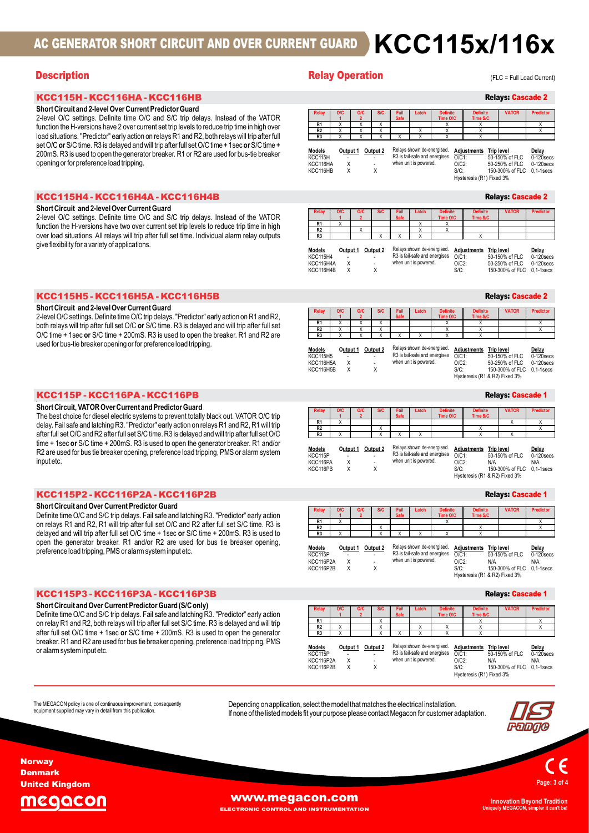## AC GENERATOR SHORT CIRCUIT AND OVER CURRENT GUARD  $\,$  KCC115x/116x

## Short Circuit and 2-level Over Current Predictor Guard

## Short Circuit and 2-level Over Current Guard

|  | KCC115H5 - KCC116H5A - KCC116H5B |  |
|--|----------------------------------|--|
|--|----------------------------------|--|

## Short Circuit and 2-level Over Current Guard

| КСС115Р - КСС116РА - КСС116РВ |  |
|-------------------------------|--|
|-------------------------------|--|

## Short Circuit, VATOR Over Current and Predictor Guard

## Short Circuit and Over Current Predictor Guard

## Short Circuit and Over Current Predictor Guard (S/C only)

|  | <b>Relay Operation</b> |  |  |  |  |
|--|------------------------|--|--|--|--|
|--|------------------------|--|--|--|--|

## Relays: Cascade 2 (FLC = Full Load Current)

| AC GENERATOR SHORT CIRCUIT AND OVER CURRENT GUARD                                                                                                                                                                                                                                                                                                                                                                                                                                                                                                                                      | <b>KCC115x/116x</b>                                                                                                                                                                                                                                                                                                                                                                                                                                                                                                                                                                                                                                                                                                                                                                                                                                                                                                                           |
|----------------------------------------------------------------------------------------------------------------------------------------------------------------------------------------------------------------------------------------------------------------------------------------------------------------------------------------------------------------------------------------------------------------------------------------------------------------------------------------------------------------------------------------------------------------------------------------|-----------------------------------------------------------------------------------------------------------------------------------------------------------------------------------------------------------------------------------------------------------------------------------------------------------------------------------------------------------------------------------------------------------------------------------------------------------------------------------------------------------------------------------------------------------------------------------------------------------------------------------------------------------------------------------------------------------------------------------------------------------------------------------------------------------------------------------------------------------------------------------------------------------------------------------------------|
| <b>Description</b>                                                                                                                                                                                                                                                                                                                                                                                                                                                                                                                                                                     | <b>Relay Operation</b><br>(FLC = Full Load Current)                                                                                                                                                                                                                                                                                                                                                                                                                                                                                                                                                                                                                                                                                                                                                                                                                                                                                           |
| КСС115Н - КСС116НА - КСС116НВ                                                                                                                                                                                                                                                                                                                                                                                                                                                                                                                                                          | <b>Relays: Cascade 2</b>                                                                                                                                                                                                                                                                                                                                                                                                                                                                                                                                                                                                                                                                                                                                                                                                                                                                                                                      |
| Short Circuit and 2-level Over Current Predictor Guard<br>2-level O/C settings. Definite time O/C and S/C trip delays. Instead of the VATOR<br>function the H-versions have 2 over current set trip levels to reduce trip time in high over<br>load situations. "Predictor" early action on relays R1 and R2, both relays will trip after full<br>set O/C or S/C time. R3 is delayed and will trip after full set O/C time + 1 sec or S/C time +<br>200mS. R3 is used to open the generator breaker. R1 or R2 are used for bus-tie breaker<br>opening or for preference load tripping. | <b>O/C</b><br><b>O/C</b><br>Fail<br>Safe<br><b>Definite</b><br><b>Definite</b><br><b>VATOR</b><br><b>Predictor</b><br>Relay<br><b>S/C</b><br>Latch<br>$\overline{1}$<br>Time O/C<br>Time S/C<br>R <sub>1</sub><br>$\times$<br>$\times$<br>$\mathsf{X}$<br>$\times$<br>X<br>$\boldsymbol{\mathsf{x}}$<br>R <sub>2</sub><br>$\mathsf{X}$<br>$\times$<br>$\boldsymbol{\mathsf{X}}$<br>$\times$<br>X<br>$\times$<br>R3<br>$\mathsf{X}$<br>X<br>X<br>$\mathsf{x}$<br>$\mathsf{x}$<br>Relays shown de-energised.<br><b>Models</b><br>Output 1 Output 2<br><b>Adjustments</b> Trip level<br>Delay<br>R3 is fail-safe and energises<br>KCC115H<br>$O/C1$ :<br>50-150% of FLC<br>$0-120$ secs<br>$\sim$<br>when unit is powered.<br>KCC116HA<br>$\times$<br>$O/C2$ :<br>50-250% of FLC<br>$0-120$ secs<br>KCC116HB<br>$\times$<br>X<br>$S/C$ :<br>150-300% of FLC 0,1-1secs<br>Hysteresis (R1) Fixed 3%                                                |
| KCC115H4 - KCC116H4A - KCC116H4B                                                                                                                                                                                                                                                                                                                                                                                                                                                                                                                                                       | <b>Relays: Cascade 2</b>                                                                                                                                                                                                                                                                                                                                                                                                                                                                                                                                                                                                                                                                                                                                                                                                                                                                                                                      |
| Short Circuit and 2-level Over Current Guard<br>2-level O/C settings. Definite time O/C and S/C trip delays. Instead of the VATOR<br>function the H-versions have two over current set trip levels to reduce trip time in high<br>over load situations. All relays will trip after full set time. Individual alarm relay outputs<br>give flexibility for a variety of applications.                                                                                                                                                                                                    | <b>OIC</b><br>O/C<br><b>Definite</b><br>VATOR<br>Predictor<br><b>S/C</b><br>Fail<br>Latc<br>Defin<br>Safe<br>$\blacktriangleleft$<br>Time O/C<br>Time S/C<br>R1<br>X<br>X<br>X<br>R2<br>$\times$<br>X<br>R3<br>Relays shown de-energised.<br>Output 1 Output 2<br><b>Adjustments</b> Trip level<br><u>Models</u><br>Delay<br>R3 is fail-safe and energises<br>O/C1<br><b>KCC115H4</b><br>50-150% of FLC<br>$0-120$ secs<br>when unit is powered.<br>KCC116H4A<br>$\mathsf{X}$<br>$O/C2$ :<br>$0-120$ secs<br>50-250% of FLC<br>KCC116H4B<br>$S/C$ :<br>150-300% of FLC 0,1-1 secs                                                                                                                                                                                                                                                                                                                                                             |
| KCC115H5-KCC116H5A-KCC116H5B                                                                                                                                                                                                                                                                                                                                                                                                                                                                                                                                                           | <b>Relays: Cascade 2</b>                                                                                                                                                                                                                                                                                                                                                                                                                                                                                                                                                                                                                                                                                                                                                                                                                                                                                                                      |
| Short Circuit and 2-level Over Current Guard<br>2-level O/C settings. Definite time O/C trip delays. "Predictor" early action on R1 and R2,<br>both relays will trip after full set O/C or S/C time. R3 is delayed and will trip after full set<br>O/C time + 1sec or S/C time + 200mS. R3 is used to open the breaker. R1 and R2 are<br>used for bus-tie breaker opening or for preference load tripping.                                                                                                                                                                             | <b>Definite</b><br><b>VATOR</b><br><b>Predictor</b><br><b>OIC</b><br><b>OIC</b><br><b>S/C</b><br>Fail<br>Latch<br><b>Definite</b><br>Relay<br><b>Safe</b><br>Time O/C<br>Time S/C<br>R1<br>$\mathsf{X}$<br>$\mathsf{x}$<br>X<br>$\mathsf{x}$<br>X<br>$\mathsf{x}$<br>R2<br>$\boldsymbol{\mathsf{X}}$<br>$\boldsymbol{\mathsf{X}}$<br>X<br>X<br>$\boldsymbol{\mathsf{X}}$<br>R3<br>$\mathsf{X}$<br>$\times$<br>$\mathsf{X}$<br>$\mathsf{x}$<br>X<br>$\boldsymbol{\mathsf{x}}$<br>Relays shown de-energised.<br>Output 1 Output 2<br><b>Adjustments</b> Trip level<br><u>Models</u><br>Delay<br>R3 is fail-safe and energises O/C1:<br>KCC115H5<br>50-150% of FLC 0-120secs<br>$\sim$ 100 $\pm$<br>$\sim$<br>when unit is powered.<br>$\mathsf{X}$<br>$O/C2$ :<br>50-250% of FLC 0-120 secs<br>KCC116H5A<br>$\overline{\phantom{a}}$<br>KCC116H5B<br>$\mathsf{X}$<br>Χ<br>$S/C$ :<br>150-300% of FLC 0,1-1secs<br>Hysteresis (R1 & R2) Fixed 3% |
| KCC115P - KCC116PA - KCC116PB                                                                                                                                                                                                                                                                                                                                                                                                                                                                                                                                                          |                                                                                                                                                                                                                                                                                                                                                                                                                                                                                                                                                                                                                                                                                                                                                                                                                                                                                                                                               |
| Short Circuit, VATOR Over Current and Predictor Guard                                                                                                                                                                                                                                                                                                                                                                                                                                                                                                                                  | <b>Relays: Cascade 1</b>                                                                                                                                                                                                                                                                                                                                                                                                                                                                                                                                                                                                                                                                                                                                                                                                                                                                                                                      |
| The best choice for diesel electric systems to prevent totally black out. VATOR O/C trip                                                                                                                                                                                                                                                                                                                                                                                                                                                                                               | VATOR<br>Predictor<br>Fail<br>Safe<br>Definite<br>Time S/C<br>Time O/C<br><b>R1</b>                                                                                                                                                                                                                                                                                                                                                                                                                                                                                                                                                                                                                                                                                                                                                                                                                                                           |

| <b>Relay</b>   | <b>OIC</b> | <b>O/C</b> | <b>S/C</b> | Fail<br><b>Safe</b> | Latch        | <b>Definite</b><br>Time O/C | <b>Definite</b><br>Time S/C | <b>VATOR</b> | <b>Predictor</b> |
|----------------|------------|------------|------------|---------------------|--------------|-----------------------------|-----------------------------|--------------|------------------|
| R <sub>1</sub> |            |            |            |                     | $\cdot$<br>́ | $\cdot$                     |                             |              |                  |
| R <sub>2</sub> |            | $\cdots$   |            |                     | $\cdot$<br>́ |                             |                             |              |                  |
| R <sub>3</sub> |            |            |            |                     | $\lambda$    |                             |                             |              |                  |

| Models          | Output 1 Output 2 |        | Relays shown de-energised.    | <b>Adiustments</b> Trip level |                            | Delay        |
|-----------------|-------------------|--------|-------------------------------|-------------------------------|----------------------------|--------------|
| <b>KCC115H4</b> | ۰                 | ۰      | R3 is fail-safe and energises | $O/C1$ :                      | 50-150% of FLC             | $0-120$ secs |
| KCC116H4A       | x                 | $\sim$ | when unit is powered.         | $O/C2$ :                      | 50-250% of FLC             | $0-120$ secs |
| KCC116H4B       |                   |        |                               | S/C:                          | 150-300% of FLC 0.1-1 secs |              |

|                |            |           |            |                     |          |                             |                             | <b>Relays: Cascade 2</b> |                 |
|----------------|------------|-----------|------------|---------------------|----------|-----------------------------|-----------------------------|--------------------------|-----------------|
| Relay          | O/C        | O/C       | <b>S/C</b> | Fail<br><b>Safe</b> | Latch    | <b>Definite</b><br>Time O/C | <b>Definite</b><br>Time S/C | <b>VATOR</b>             | Predictor       |
| R <sub>1</sub> | $\sqrt{2}$ | $\lambda$ |            |                     |          | $\cdots$                    |                             |                          | $\cdots$        |
| R <sub>2</sub> | $\sqrt{2}$ |           |            |                     |          | $\sqrt{2}$                  |                             |                          | . .<br>$\cdots$ |
| R <sub>3</sub> | $\sqrt{2}$ |           |            |                     | $\cdots$ | $\cdots$                    |                             |                          |                 |

| <b>Models</b>    | Output 1 | Output 2 | Relays shown de-energised.    | <b>Adjustments</b> |
|------------------|----------|----------|-------------------------------|--------------------|
| <b>KCC115H5</b>  | ٠        | ٠        | R3 is fail-safe and energises | $O/C1$ :           |
| <b>KCC116H5A</b> | x        | $\sim$   | when unit is powered.         | $O/C2$ :           |
| <b>KCC116H5B</b> | x        |          |                               | $S/C$ :            |
|                  |          |          |                               | Hyetaracic (R)     |

## Relays: Cascade 1

| $\frac{1}{2}$ or Or Or Or Unite. The island of any will the arter full set Or Unite $\tau$ Tsec Or Or Unite $\tau$<br>200mS. R3 is used to open the generator breaker. R1 or R2 are used for bus-tie breaker<br>opening or for preference load tripping.                                                                                                                                                                                                                                                                                               | Relays shown de-energised.<br>Output 1 Output 2<br><b>Adjustments</b> Trip level<br>Delay<br>Models<br>R3 is fail-safe and energises<br>KCC115H<br>$O/C1$ :<br>50-150% of FLC<br>$0-120$ secs<br>when unit is powered.<br>KCC116HA<br>Χ<br>$O/C2$ :<br>50-250% of FLC<br>$0-120$ secs<br>$\mathsf{X}$<br>KCC116HB<br>$\mathsf{X}$<br>$S/C$ :<br>150-300% of FLC 0,1-1secs<br>Hysteresis (R1) Fixed 3%                                                                                                                                                                                                                                                                                                                                                                                            |
|--------------------------------------------------------------------------------------------------------------------------------------------------------------------------------------------------------------------------------------------------------------------------------------------------------------------------------------------------------------------------------------------------------------------------------------------------------------------------------------------------------------------------------------------------------|--------------------------------------------------------------------------------------------------------------------------------------------------------------------------------------------------------------------------------------------------------------------------------------------------------------------------------------------------------------------------------------------------------------------------------------------------------------------------------------------------------------------------------------------------------------------------------------------------------------------------------------------------------------------------------------------------------------------------------------------------------------------------------------------------|
| KCC115H4 - KCC116H4A - KCC116H4B                                                                                                                                                                                                                                                                                                                                                                                                                                                                                                                       | <b>Relays: Cascade 2</b>                                                                                                                                                                                                                                                                                                                                                                                                                                                                                                                                                                                                                                                                                                                                                                         |
| Short Circuit and 2-level Over Current Guard<br>2-level O/C settings. Definite time O/C and S/C trip delays. Instead of the VATOR<br>function the H-versions have two over current set trip levels to reduce trip time in high<br>over load situations. All relays will trip after full set time. Individual alarm relay outputs<br>give flexibility for a variety of applications.                                                                                                                                                                    | VATOR<br>Predictor<br>Definite<br>Safe<br>Time O/C<br>Time S/C<br>R1<br>$\mathsf{X}$<br>$\mathsf{x}$<br>R <sub>2</sub><br>X<br>R3<br>Relays shown de-energised.<br><b>Models</b><br>Output 1 Output 2<br><b>Adjustments</b> Trip level<br>Delay<br>R3 is fail-safe and energises<br><b>KCC115H4</b><br>$O/C1$ :<br>50-150% of FLC<br>$0-120$ secs<br>when unit is powered.<br>KCC116H4A<br>$\boldsymbol{\mathsf{X}}$<br>$O/C2$ :<br>50-250% of FLC<br>$0-120$ secs<br>KCC116H4B<br>$\sf X$<br>$S/C$ :<br>X<br>150-300% of FLC 0,1-1 secs                                                                                                                                                                                                                                                         |
| KCC115H5 - KCC116H5A - KCC116H5B                                                                                                                                                                                                                                                                                                                                                                                                                                                                                                                       | <b>Relays: Cascade 2</b>                                                                                                                                                                                                                                                                                                                                                                                                                                                                                                                                                                                                                                                                                                                                                                         |
| Short Circuit and 2-level Over Current Guard<br>2-level O/C settings. Definite time O/C trip delays. "Predictor" early action on R1 and R2,<br>both relays will trip after full set O/C or S/C time. R3 is delayed and will trip after full set<br>O/C time + 1sec or S/C time + 200mS. R3 is used to open the breaker. R1 and R2 are<br>used for bus-tie breaker opening or for preference load tripping.                                                                                                                                             | <b>VATOR</b><br><b>Predictor</b><br>Definite<br>O/C<br>Fail<br>Safe<br>Time O/C<br>Time S/C<br>R1<br>$\overline{X}$<br>$\overline{X}$<br>$\overline{X}$<br>$\overline{X}$<br>$\overline{X}$<br>$\overline{X}$<br>R <sub>2</sub><br>X<br>$\times$<br>$\mathsf{x}$<br>$\mathsf{X}$<br>$\mathsf{x}$<br>X<br>R3<br>$\mathsf{x}$<br>$\overline{X}$<br>$\overline{x}$<br>$\mathsf{x}$<br>Relays shown de-energised.<br>Output 1 Output 2<br><b>Adjustments</b> Trip level<br>Models<br>Delay<br>R3 is fail-safe and energises<br>$O/C1$ :<br>50-150% of FLC<br>$0-120$ secs<br><b>KCC115H5</b><br>when unit is powered.<br>$\times$<br>$O/C2$ :<br>KCC116H5A<br>50-250% of FLC<br>$0-120$ secs<br>KCC116H5B<br>$\times$<br>X<br>$S/C$ :<br>150-300% of FLC 0,1-1 secs<br>Hysteresis (R1 & R2) Fixed 3% |
| KCC115P-KCC116PA-KCC116PB                                                                                                                                                                                                                                                                                                                                                                                                                                                                                                                              | <b>Relays: Cascade 1</b>                                                                                                                                                                                                                                                                                                                                                                                                                                                                                                                                                                                                                                                                                                                                                                         |
| Short Circuit, VATOR Over Current and Predictor Guard<br>The best choice for diesel electric systems to prevent totally black out. VATOR O/C trip<br>delay. Fail safe and latching R3. "Predictor" early action on relays R1 and R2, R1 will trip<br>after full set O/C and R2 after full set S/C time. R3 is delayed and will trip after full set O/C<br>time + 1sec or S/C time + 200mS. R3 is used to open the generator breaker. R1 and/or<br>R2 are used for bus tie breaker opening, preference load tripping, PMS or alarm system<br>input etc. | <b>Definite</b><br><b>VATOR</b><br><b>Predictor</b><br>Relay<br><b>OIC</b><br>O/C<br>Time O/C<br>Time S/C<br>R1<br>$\boldsymbol{\mathsf{X}}$<br>$\mathsf{X}$<br>$\boldsymbol{\mathsf{X}}$<br>R <sub>2</sub><br>$\mathsf{x}$<br>X<br>R <sub>3</sub><br>$\mathsf{x}$<br>X<br>$\mathsf{x}$<br>Relays shown de-energised.<br>Output 1 Output 2<br><b>Adjustments</b> Trip level<br><u>Models</u><br>Delay<br>R3 is fail-safe and energises<br>KCC115P<br>$O/C1$ :<br>50-150% of FLC<br>$0-120$ secs<br>when unit is powered.<br>KCC116PA<br>Χ<br>$O/C2$ :<br>N/A<br>N/A<br>X<br>X<br>KCC116PB<br>$S/C$ :<br>150-300% of FLC 0,1-1 secs<br>Hysteresis (R1 & R2) Fixed 3%                                                                                                                              |
| KCC115P2-KCC116P2A-KCC116P2B                                                                                                                                                                                                                                                                                                                                                                                                                                                                                                                           | <b>Relays: Cascade 1</b>                                                                                                                                                                                                                                                                                                                                                                                                                                                                                                                                                                                                                                                                                                                                                                         |
| Short Circuit and Over Current Predictor Guard<br>Definite time O/C and S/C trip delays. Fail safe and latching R3. "Predictor" early action<br>on relays R1 and R2, R1 will trip after full set O/C and R2 after full set S/C time. R3 is<br>delayed and will trip after full set O/C time + 1sec or S/C time + 200mS. R3 is used to<br>open the generator breaker. R1 and/or R2 are used for bus tie breaker opening,<br>preference load tripping, PMS or alarm system input etc.                                                                    | <b>Definite</b><br><b>VATOR</b><br><b>Predictor</b><br>Relay<br>O/C<br>O/C<br><b>S/C</b><br>Fail<br><b>Definit</b><br>Safe<br>Time O/C<br>Time S/C<br>R1<br>$\overline{X}$<br>$\mathsf{X}$<br>X<br>R2<br>$\times$<br>$\boldsymbol{\mathsf{x}}$<br>x<br>R3<br>$\mathsf{X}$<br>$\mathbf{x}$<br>X<br>$\mathsf{x}$<br>Relays shown de-energised.<br>Output 1 Output 2<br>Adjustments<br><b>Trip level</b><br><u>Models</u><br>Delay<br>R3 is fail-safe and energises O/C1:<br>KCC115P<br>50-150% of FLC<br>$0-120$ secs<br>when unit is powered.<br>KCC116P2A<br>$\mathsf{X}$<br>$O/C2$ :<br>N/A<br>N/A<br>150 300% of ELC 0.1 1cocc<br>KCM 116D2D                                                                                                                                                   |

| KCC115H5 - KCC116H5A - KCC116H5B                                                                                                                                                                                                                                                                                                                                                                                                                                                                                                                       |                                                                                                                                                                                                                                                                                                                                                                                                                                  | <b>Relavs: Cascade 2</b>                                                                                                                                                                                                                                                                                                                                             |
|--------------------------------------------------------------------------------------------------------------------------------------------------------------------------------------------------------------------------------------------------------------------------------------------------------------------------------------------------------------------------------------------------------------------------------------------------------------------------------------------------------------------------------------------------------|----------------------------------------------------------------------------------------------------------------------------------------------------------------------------------------------------------------------------------------------------------------------------------------------------------------------------------------------------------------------------------------------------------------------------------|----------------------------------------------------------------------------------------------------------------------------------------------------------------------------------------------------------------------------------------------------------------------------------------------------------------------------------------------------------------------|
| Short Circuit and 2-level Over Current Guard<br>2-level O/C settings. Definite time O/C trip delays. "Predictor" early action on R1 and R2,<br>both relays will trip after full set O/C or S/C time. R3 is delayed and will trip after full set<br>O/C time + 1sec or S/C time + 200mS. R3 is used to open the breaker. R1 and R2 are<br>used for bus-tie breaker opening or for preference load tripping.                                                                                                                                             | Relay<br><b>S/C</b><br>O/C<br>O/C<br>Safe<br>$\overline{2}$<br>R1<br>X<br>$\overline{X}$<br>R2<br>$\times$<br>$\times$<br>$\times$<br>R <sub>3</sub><br>X<br>$\overline{X}$<br>$\overline{X}$<br>$\chi$<br>$\mathsf{x}$<br>Relays shown de-energised.<br>Models<br>Output 1 Output 2<br>R3 is fail-safe and energises<br><b>KCC115H5</b><br>when unit is powered.<br>$\mathsf{X}$<br>KCC116H5A<br>X<br>KCC116H5B<br>$\mathsf{X}$ | Predictor<br>VATOR<br>Time S/C<br>Time O/C<br>X<br>X<br>X<br>$\times$<br>$\mathsf{x}$<br>X<br>X<br>Adjustments Trip level<br>Delay<br>$O/C1$ :<br>50-150% of FLC<br>$0-120$ secs<br>$O/C2$ :<br>50-250% of FLC<br>$0-120$ secs<br>$S/C$ :<br>150-300% of FLC 0,1-1 secs<br>Hysteresis (R1 & R2) Fixed 3%                                                             |
| KCC115P-KCC116PA-KCC116PB                                                                                                                                                                                                                                                                                                                                                                                                                                                                                                                              |                                                                                                                                                                                                                                                                                                                                                                                                                                  | <b>Relays: Cascade 1</b>                                                                                                                                                                                                                                                                                                                                             |
| Short Circuit, VATOR Over Current and Predictor Guard<br>The best choice for diesel electric systems to prevent totally black out. VATOR O/C trip<br>delay. Fail safe and latching R3. "Predictor" early action on relays R1 and R2, R1 will trip<br>after full set O/C and R2 after full set S/C time. R3 is delayed and will trip after full set O/C<br>time + 1sec or S/C time + 200mS. R3 is used to open the generator breaker. R1 and/or<br>R2 are used for bus tie breaker opening, preference load tripping, PMS or alarm system<br>input etc. | <b>Relay</b><br>O/C<br><b>S/C</b><br>Fail<br>O/C<br>Latc<br>Safe<br>R1<br>$\mathsf{x}$<br>R <sub>2</sub><br>$\mathsf{X}$<br>R3<br>$\mathsf{x}$<br>$\mathsf{x}$<br>Relays shown de-energised.<br>Output 1 Output 2<br><b>Models</b><br>R3 is fail-safe and energises<br>KCC115P<br>when unit is powered.<br>KCC116PA<br>$\mathsf{X}$<br>$\mathsf{X}$<br>KCC116PB<br>X                                                             | <b>Definite</b><br><b>VATOR</b><br><b>Predictor</b><br><b>Definit</b><br>Time O/C<br><b>Time S/C</b><br>X<br>$\boldsymbol{\mathsf{x}}$<br>X<br>$\mathsf{x}$<br>Adjustments Trip level<br>Delay<br>50-150% of FLC<br>0-120secs<br>$O/C1$ :<br>$O/C2$ :<br>N/A<br>N/A<br>$S/C$ :<br>150-300% of FLC 0.1-1 secs<br>Hysteresis (R1 & R2) Fixed 3%                        |
| KCC115P2 - KCC116P2A - KCC116P2B                                                                                                                                                                                                                                                                                                                                                                                                                                                                                                                       |                                                                                                                                                                                                                                                                                                                                                                                                                                  | <b>Relays: Cascade 1</b>                                                                                                                                                                                                                                                                                                                                             |
| Short Circuit and Over Current Predictor Guard<br>Definite time O/C and S/C trip delays. Fail safe and latching R3. "Predictor" early action<br>on relays R1 and R2, R1 will trip after full set O/C and R2 after full set S/C time. R3 is<br>delayed and will trip after full set O/C time + 1sec or S/C time + 200mS. R3 is used to<br>open the generator breaker. R1 and/or R2 are used for bus tie breaker opening.<br>preference load tripping, PMS or alarm system input etc.                                                                    | Relay<br><b>S/C</b><br>Fail<br>Latch<br>O/C<br>O/C<br><b>Safe</b><br>$\overline{2}$<br>R1<br>$\mathsf{X}$<br>R <sub>2</sub><br>$\overline{\mathsf{x}}$<br>R3<br>$\overline{X}$<br>$\times$<br>$\times$<br>$\mathsf{X}$<br>Relays shown de-energised.<br><b>Models</b><br>Output 1 Output 2<br>KCC115P<br>when unit is powered.<br>$\boldsymbol{\mathsf{X}}$<br>KCC116P2A<br>KCC116P2B<br>$\times$<br>X                           | <b>Definite</b><br><b>Definite</b><br><b>Predictor</b><br><b>VATOR</b><br>Time O/C<br>Time S/C<br>$\times$<br>X<br>X<br>X<br>$\overline{X}$<br>X<br><b>Adjustments</b> Trip level<br>Delay<br>R3 is fail-safe and energises O/C1:<br>50-150% of FLC<br>0-120secs<br>$O/C2$ :<br>N/A<br>N/A<br>$S/C$ :<br>150-300% of FLC 0,1-1 secs<br>Hysteresis (R1 & R2) Fixed 3% |
| KCC115P3 - KCC116P3A - KCC116P3B                                                                                                                                                                                                                                                                                                                                                                                                                                                                                                                       |                                                                                                                                                                                                                                                                                                                                                                                                                                  | <b>Relays: Cascade 1</b>                                                                                                                                                                                                                                                                                                                                             |
| Short Circuit and Over Current Predictor Guard (S/C only)<br>Definite time O/C and S/C trip delays. Fail safe and latching R3. "Predictor" early action<br>on relay R1 and R2, both relays will trip after full set S/C time. R3 is delayed and will trip<br>after full set O/C time + 1sec or S/C time + 200mS. R3 is used to open the generator<br>breaker. R1 and R2 are used for bus tie breaker opening, preference load tripping, PMS<br>or alarm system input etc.                                                                              | Relay<br>O/C<br><b>S/C</b><br>Fail<br>Latch<br>O/C<br>Safe<br>R1<br>$\overline{X}$<br>R <sub>2</sub><br>$\mathsf{X}$<br>$\boldsymbol{\mathsf{x}}$<br>R <sub>3</sub><br>$\mathsf{X}$<br>$\boldsymbol{\mathsf{x}}$<br>X<br>Relays shown de-energised.<br><b>Models</b><br>Output 1 Output 2<br>R3 is fail-safe and energises<br>KCC115P<br>when unit is powered.<br>$\mathsf{X}$<br>KCC116P2A<br>KCC116D2D<br>$\mathbf{v}$         | <b>Predictor</b><br><b>Definite</b><br><b>Definite</b><br><b>VATOR</b><br>Time O/C<br><b>Time S/C</b><br>$\mathsf{X}$<br>$\boldsymbol{\mathsf{X}}$<br>$\times$<br>X<br>X<br>$\mathsf{X}$<br>X<br>Adjustments Trip level<br>Delay<br>50-150% of FLC<br>$0-120$ secs<br>$O/C1$ :<br>$O/C2$ :<br>N/A<br>N/A<br>150 300% of ELC 0.1 1cocc<br>$C1$ .                      |

## Relays: Cascade 1

| Relay<br><b>OIC</b><br><b>O/C</b><br><b>S/C</b><br>Latch<br><b>VATOR</b><br>Predictor<br>Fail<br><b>Definite</b><br><b>Definite</b><br>ut. VATOR O/C trip<br><b>Safe</b><br>Time O/C<br>Time S/C<br>$\overline{1}$<br>$\overline{2}$<br>R <sub>1</sub><br>Χ<br>Χ<br>Х<br>and R2, R1 will trip<br>R <sub>2</sub><br>X<br>Χ<br>X<br>rip after full set O/C<br>$\overline{X}$<br>R3<br>$\overline{X}$<br>X<br>X<br>X<br>X<br>breaker. R1 and/or<br>Relays shown de-energised.<br>Output 1 Output 2<br><b>Models</b><br><b>Adjustments</b> Trip level<br>Delay<br>R3 is fail-safe and energises<br>KCC115P<br>$O/CI$ :<br>50-150% of FLC<br>when unit is powered.<br>Χ<br>$O/C2$ :<br>KCC116PA<br>N/A<br>N/A<br>$\overline{\phantom{a}}$<br>X<br>KCC116PB<br>X<br>$S/C$ :<br>Hysteresis (R1 & R2) Fixed 3%<br><b>Relays: Cascade 1</b><br>O/C<br><b>O/C</b><br><b>S/C</b><br>Fail<br>Latch<br><b>Definite</b><br><b>Definite</b><br><b>VATOR</b><br>Relay<br><b>Predictor</b><br>Time O/C<br><b>Time S/C</b><br><b>Safe</b><br>$\overline{2}$<br>$\blacktriangleleft$<br>R <sub>1</sub><br>X<br>χ<br>χ<br>R2<br>Χ<br>Χ<br>X<br>R <sub>3</sub><br>X<br>X<br>X<br>$\boldsymbol{\mathsf{X}}$<br>X<br>X<br>breaker opening,<br>Relays shown de-energised.<br>Output 2<br><b>Models</b><br>Output 1<br><b>Adjustments</b> Trip level<br>Delay<br>R3 is fail-safe and energises<br>KCC115P<br>$O/C1$ :<br>50-150% of FLC<br>when unit is powered.<br>X<br>$O/C2$ :<br>KCC116P2A<br>N/A<br>N/A<br>Χ<br>KCC116P2B<br>X<br>$S/C$ :<br>Hysteresis (R1 & R2) Fixed 3%<br><b>Relays: Cascade 1</b><br>O/C<br><b>O/C</b><br><b>S/C</b><br>Latch<br><b>Definite</b><br><b>VATOR</b><br><b>Predictor</b><br><b>Relay</b><br>Fail<br><b>Definite</b><br>Safe<br>Time O/C<br>Time S/C<br>$\overline{2}$<br>$\blacktriangleleft$<br>R1<br>Χ<br>Х<br>Х<br>R <sub>2</sub><br>Χ<br>Χ<br>Χ<br>X<br>Χ<br>$\boldsymbol{\mathsf{X}}$<br>R <sub>3</sub><br>X<br>X<br>X<br>X<br>X<br>Relays shown de-energised.<br><b>Models</b><br>Output 2<br>Adjustments Trip level<br>Output 1<br>Delay<br>R3 is fail-safe and energises<br>KCC115P<br>$O/C1$ :<br>50-150% of FLC<br>when unit is powered.<br>X<br>$O/C2$ :<br>KCC116P2A<br>N/A<br>N/A<br>$\blacksquare$<br>X<br>Χ<br>KCC116P2B<br>$S/C$ :<br>Hysteresis (R1) Fixed 3% |                    |  |  |  | <b>Relays: Cascade 1</b> |  |
|---------------------------------------------------------------------------------------------------------------------------------------------------------------------------------------------------------------------------------------------------------------------------------------------------------------------------------------------------------------------------------------------------------------------------------------------------------------------------------------------------------------------------------------------------------------------------------------------------------------------------------------------------------------------------------------------------------------------------------------------------------------------------------------------------------------------------------------------------------------------------------------------------------------------------------------------------------------------------------------------------------------------------------------------------------------------------------------------------------------------------------------------------------------------------------------------------------------------------------------------------------------------------------------------------------------------------------------------------------------------------------------------------------------------------------------------------------------------------------------------------------------------------------------------------------------------------------------------------------------------------------------------------------------------------------------------------------------------------------------------------------------------------------------------------------------------------------------------------------------------------------------------------------------------------------------------------------------------------------------------------------------------------------------------------------------------------------------------------------------------------------------------------------------------------------------------------------------------------------------------------------------------------------------------|--------------------|--|--|--|--------------------------|--|
|                                                                                                                                                                                                                                                                                                                                                                                                                                                                                                                                                                                                                                                                                                                                                                                                                                                                                                                                                                                                                                                                                                                                                                                                                                                                                                                                                                                                                                                                                                                                                                                                                                                                                                                                                                                                                                                                                                                                                                                                                                                                                                                                                                                                                                                                                             |                    |  |  |  |                          |  |
| $0-120$ secs<br>150-300% of FLC 0,1-1 secs<br>$0-120$ secs<br>150-300% of FLC 0,1-1secs<br>$0-120$ secs<br>150-300% of FLC 0,1-1secs                                                                                                                                                                                                                                                                                                                                                                                                                                                                                                                                                                                                                                                                                                                                                                                                                                                                                                                                                                                                                                                                                                                                                                                                                                                                                                                                                                                                                                                                                                                                                                                                                                                                                                                                                                                                                                                                                                                                                                                                                                                                                                                                                        |                    |  |  |  |                          |  |
|                                                                                                                                                                                                                                                                                                                                                                                                                                                                                                                                                                                                                                                                                                                                                                                                                                                                                                                                                                                                                                                                                                                                                                                                                                                                                                                                                                                                                                                                                                                                                                                                                                                                                                                                                                                                                                                                                                                                                                                                                                                                                                                                                                                                                                                                                             |                    |  |  |  |                          |  |
| dictor" early action<br>set S/C time. R3 is<br>mS. R3 is used to<br>dictor" early action<br>elayed and will trip<br>pen the generator<br>load tripping, PMS                                                                                                                                                                                                                                                                                                                                                                                                                                                                                                                                                                                                                                                                                                                                                                                                                                                                                                                                                                                                                                                                                                                                                                                                                                                                                                                                                                                                                                                                                                                                                                                                                                                                                                                                                                                                                                                                                                                                                                                                                                                                                                                                 | IS or alarm system |  |  |  |                          |  |
|                                                                                                                                                                                                                                                                                                                                                                                                                                                                                                                                                                                                                                                                                                                                                                                                                                                                                                                                                                                                                                                                                                                                                                                                                                                                                                                                                                                                                                                                                                                                                                                                                                                                                                                                                                                                                                                                                                                                                                                                                                                                                                                                                                                                                                                                                             |                    |  |  |  |                          |  |
|                                                                                                                                                                                                                                                                                                                                                                                                                                                                                                                                                                                                                                                                                                                                                                                                                                                                                                                                                                                                                                                                                                                                                                                                                                                                                                                                                                                                                                                                                                                                                                                                                                                                                                                                                                                                                                                                                                                                                                                                                                                                                                                                                                                                                                                                                             |                    |  |  |  |                          |  |
|                                                                                                                                                                                                                                                                                                                                                                                                                                                                                                                                                                                                                                                                                                                                                                                                                                                                                                                                                                                                                                                                                                                                                                                                                                                                                                                                                                                                                                                                                                                                                                                                                                                                                                                                                                                                                                                                                                                                                                                                                                                                                                                                                                                                                                                                                             |                    |  |  |  |                          |  |
|                                                                                                                                                                                                                                                                                                                                                                                                                                                                                                                                                                                                                                                                                                                                                                                                                                                                                                                                                                                                                                                                                                                                                                                                                                                                                                                                                                                                                                                                                                                                                                                                                                                                                                                                                                                                                                                                                                                                                                                                                                                                                                                                                                                                                                                                                             |                    |  |  |  |                          |  |
|                                                                                                                                                                                                                                                                                                                                                                                                                                                                                                                                                                                                                                                                                                                                                                                                                                                                                                                                                                                                                                                                                                                                                                                                                                                                                                                                                                                                                                                                                                                                                                                                                                                                                                                                                                                                                                                                                                                                                                                                                                                                                                                                                                                                                                                                                             |                    |  |  |  |                          |  |
|                                                                                                                                                                                                                                                                                                                                                                                                                                                                                                                                                                                                                                                                                                                                                                                                                                                                                                                                                                                                                                                                                                                                                                                                                                                                                                                                                                                                                                                                                                                                                                                                                                                                                                                                                                                                                                                                                                                                                                                                                                                                                                                                                                                                                                                                                             |                    |  |  |  |                          |  |

The MEGACON policy is one of continuous improvement, consequently **Depending on application**, select the model that matches the electrical installation. equipment supplied may vary in detail from this publication.<br>If none of the listed models fit your purpose please contact Megacon for customer adaptation.





United Kingdom acor

**Norway Denmark** 

www.megacon.com<br>
ECTRONIC CONTROL AND INSTRUMENTATION<br>
ECTRONIC CONTROL AND INSTRUMENTATION

**END INSTRUMENTATION** 

Uniquely MEGACON, simpler it can't be!